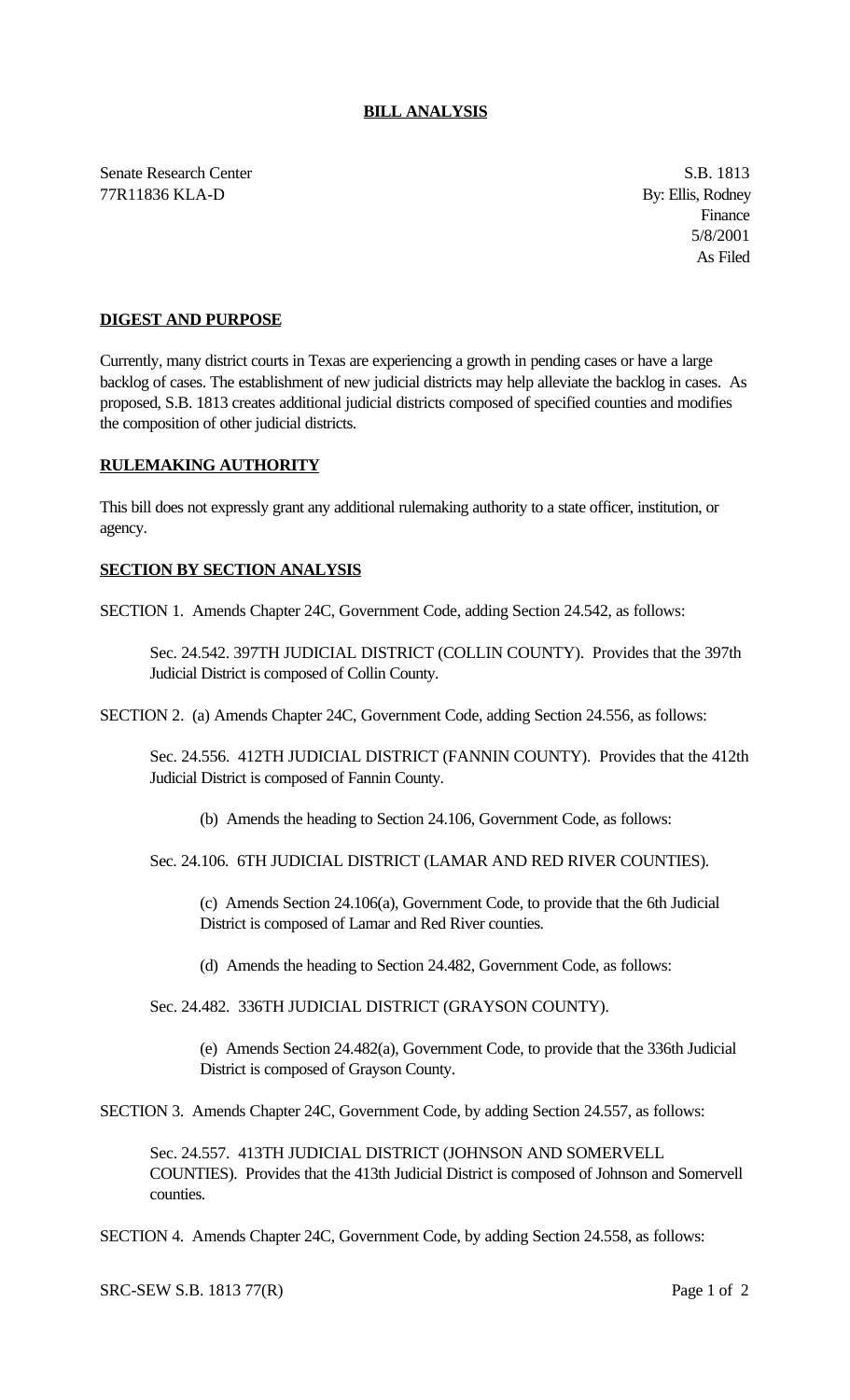Senate Research Center S.B. 1813 77R11836 KLA-D By: Ellis, Rodney

Finance 5/8/2001 As Filed

## **DIGEST AND PURPOSE**

Currently, many district courts in Texas are experiencing a growth in pending cases or have a large backlog of cases. The establishment of new judicial districts may help alleviate the backlog in cases. As proposed, S.B. 1813 creates additional judicial districts composed of specified counties and modifies the composition of other judicial districts.

## **RULEMAKING AUTHORITY**

This bill does not expressly grant any additional rulemaking authority to a state officer, institution, or agency.

## **SECTION BY SECTION ANALYSIS**

SECTION 1. Amends Chapter 24C, Government Code, adding Section 24.542, as follows:

Sec. 24.542. 397TH JUDICIAL DISTRICT (COLLIN COUNTY). Provides that the 397th Judicial District is composed of Collin County.

SECTION 2. (a) Amends Chapter 24C, Government Code, adding Section 24.556, as follows:

Sec. 24.556. 412TH JUDICIAL DISTRICT (FANNIN COUNTY). Provides that the 412th Judicial District is composed of Fannin County.

(b) Amends the heading to Section 24.106, Government Code, as follows:

Sec. 24.106. 6TH JUDICIAL DISTRICT (LAMAR AND RED RIVER COUNTIES).

(c) Amends Section 24.106(a), Government Code, to provide that the 6th Judicial District is composed of Lamar and Red River counties.

(d) Amends the heading to Section 24.482, Government Code, as follows:

Sec. 24.482. 336TH JUDICIAL DISTRICT (GRAYSON COUNTY).

(e) Amends Section 24.482(a), Government Code, to provide that the 336th Judicial District is composed of Grayson County.

SECTION 3. Amends Chapter 24C, Government Code, by adding Section 24.557, as follows:

Sec. 24.557. 413TH JUDICIAL DISTRICT (JOHNSON AND SOMERVELL COUNTIES). Provides that the 413th Judicial District is composed of Johnson and Somervell counties.

SECTION 4. Amends Chapter 24C, Government Code, by adding Section 24.558, as follows:

SRC-SEW S.B. 1813 77(R) Page 1 of 2